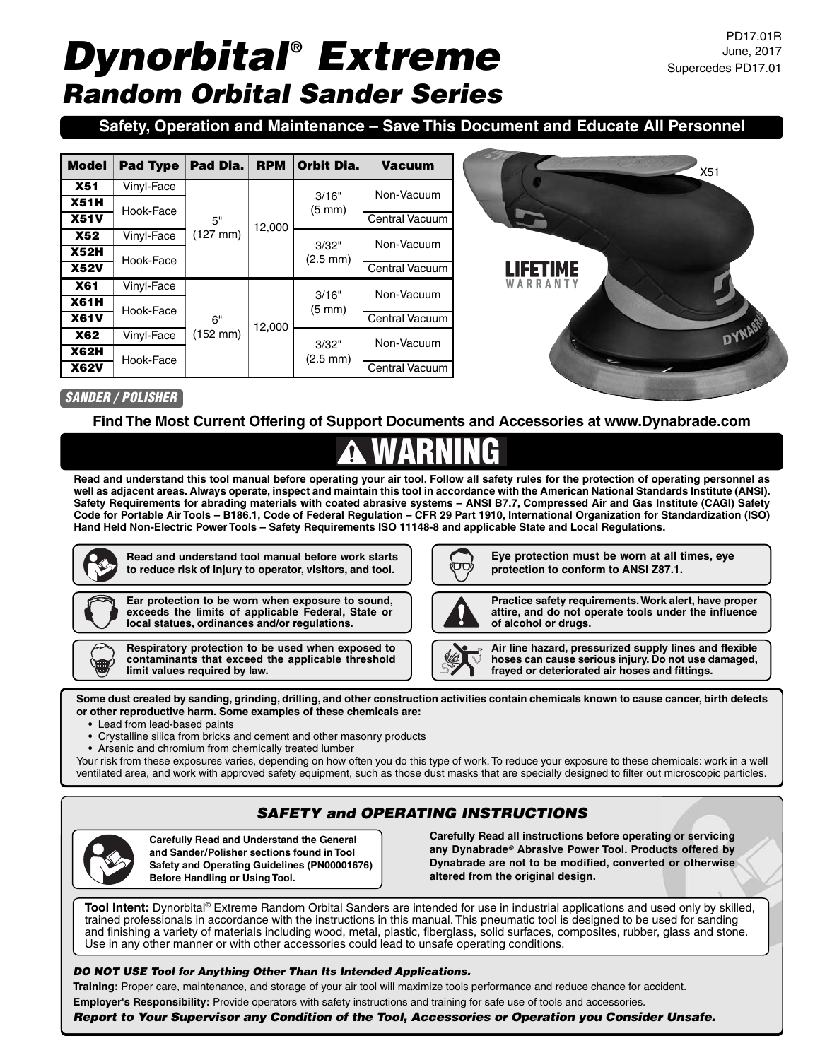# *Dynorbital® Extreme Random Orbital Sander Series*

## **Safety, Operation and Maintenance – Save This Document and Educate All Personnel**

| <b>Model</b> | <b>Pad Type</b> | Pad Dia.                   | <b>RPM</b> | Orbit Dia.                    | <b>Vacuum</b>         |  |
|--------------|-----------------|----------------------------|------------|-------------------------------|-----------------------|--|
| <b>X51</b>   | Vinyl-Face      |                            | 12,000     | 3/16"<br>$(5 \text{ mm})$     | Non-Vacuum            |  |
| <b>X51H</b>  | Hook-Face       | 5"<br>$(127 \, \text{mm})$ |            |                               |                       |  |
| <b>X51V</b>  |                 |                            |            |                               | <b>Central Vacuum</b> |  |
| <b>X52</b>   | Vinyl-Face      |                            |            | 3/32"<br>$(2.5 \, \text{mm})$ | Non-Vacuum            |  |
| <b>X52H</b>  | Hook-Face       |                            |            |                               |                       |  |
| <b>X52V</b>  |                 |                            |            |                               | Central Vacuum        |  |
| <b>X61</b>   | Vinyl-Face      |                            |            | 3/16"                         | Non-Vacuum            |  |
| <b>X61H</b>  | Hook-Face       |                            |            | $(5 \text{ mm})$              |                       |  |
| <b>X61V</b>  | 6"              | 12,000                     |            | <b>Central Vacuum</b>         |                       |  |
| <b>X62</b>   | Vinyl-Face      | $(152 \, \text{mm})$       |            | 3/32"<br>$(2.5 \text{ mm})$   | Non-Vacuum            |  |
| <b>X62H</b>  | Hook-Face       |                            |            |                               |                       |  |
| <b>X62V</b>  |                 |                            |            |                               | Central Vacuum        |  |



### SANDER / POLISHER

#### **Find The Most Current Offering of Support Documents and Accessories at www.Dynabrade.com**

# WARNING

**Read and understand this tool manual before operating your air tool. Follow all safety rules for the protection of operating personnel as well as adjacent areas. Always operate, inspect and maintain this tool in accordance with the American National Standards Institute (ANSI). Safety Requirements for abrading materials with coated abrasive systems – ANSI B7.7, Compressed Air and Gas Institute (CAGI) Safety Code for Portable Air Tools – B186.1, Code of Federal Regulation – CFR 29 Part 1910, International Organization for Standardization (ISO) Hand Held Non-Electric Power Tools – Safety Requirements ISO 11148-8 and applicable State and Local Regulations.**



**Read and understand tool manual before work starts to reduce risk of injury to operator, visitors, and tool.**



**Ear protection to be worn when exposure to sound, exceeds the limits of applicable Federal, State or local statues, ordinances and/or regulations.**

**Respiratory protection to be used when exposed to contaminants that exceed the applicable threshold limit values required by law.**

**Eye protection must be worn at all times, eye protection to conform to ANSI Z87.1.**



**Practice safety requirements. Work alert, have proper attire, and do not operate tools under the influence of alcohol or drugs.**

**Air line hazard, pressurized supply lines and flexible hoses can cause serious injury. Do not use damaged, frayed or deteriorated air hoses and fittings.**

**Some dust created by sanding, grinding, drilling, and other construction activities contain chemicals known to cause cancer, birth defects or other reproductive harm. Some examples of these chemicals are:**

- Lead from lead-based paints
- Crystalline silica from bricks and cement and other masonry products
- Arsenic and chromium from chemically treated lumber

Your risk from these exposures varies, depending on how often you do this type of work. To reduce your exposure to these chemicals: work in a well ventilated area, and work with approved safety equipment, such as those dust masks that are specially designed to filter out microscopic particles.

# *SAFETY and OPERATING INSTRUCTIONS*



**Carefully Read and Understand the General and Sander/Polisher sections found in Tool Safety and Operating Guidelines (PN00001676) Before Handling or Using Tool.**

**Carefully Read all instructions before operating or servicing any Dynabrade***®* **Abrasive Power Tool. Products offered by Dynabrade are not to be modified, converted or otherwise altered from the original design.**

**Tool Intent:** Dynorbital® Extreme Random Orbital Sanders are intended for use in industrial applications and used only by skilled, trained professionals in accordance with the instructions in this manual. This pneumatic tool is designed to be used for sanding and finishing a variety of materials including wood, metal, plastic, fiberglass, solid surfaces, composites, rubber, glass and stone. Use in any other manner or with other accessories could lead to unsafe operating conditions.

#### *DO NOT USE Tool for Anything Other Than Its Intended Applications.*

**Training:** Proper care, maintenance, and storage of your air tool will maximize tools performance and reduce chance for accident. **Employer's Responsibility:** Provide operators with safety instructions and training for safe use of tools and accessories.

*Report to Your Supervisor any Condition of the Tool, Accessories or Operation you Consider Unsafe.*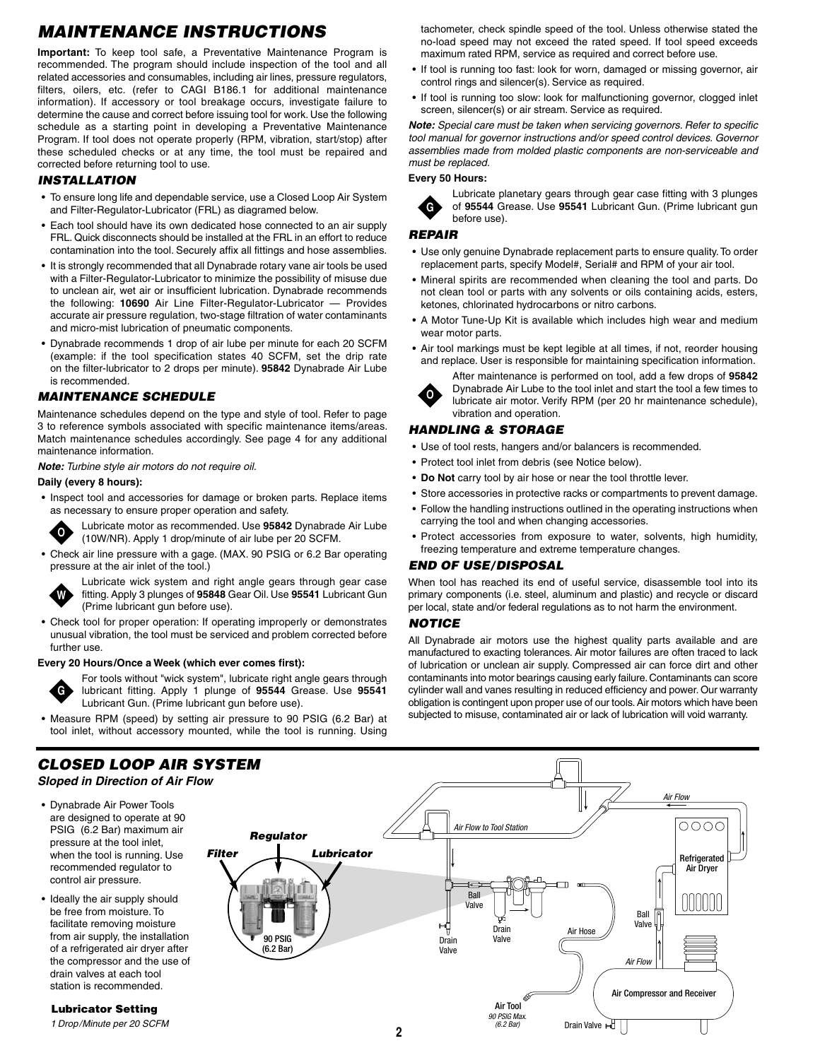# *MAINTENANCE INSTRUCTIONS*

**Important:** To keep tool safe, a Preventative Maintenance Program is recommended. The program should include inspection of the tool and all related accessories and consumables, including air lines, pressure regulators, filters, oilers, etc. (refer to CAGI B186.1 for additional maintenance information). If accessory or tool breakage occurs, investigate failure to determine the cause and correct before issuing tool for work. Use the following schedule as a starting point in developing a Preventative Maintenance Program. If tool does not operate properly (RPM, vibration, start/stop) after these scheduled checks or at any time, the tool must be repaired and corrected before returning tool to use.

#### *INSTALLATION*

- To ensure long life and dependable service, use a Closed Loop Air System and Filter-Regulator-Lubricator (FRL) as diagramed below.
- Each tool should have its own dedicated hose connected to an air supply FRL. Quick disconnects should be installed at the FRL in an effort to reduce contamination into the tool. Securely affix all fittings and hose assemblies.
- It is strongly recommended that all Dynabrade rotary vane air tools be used with a Filter-Regulator-Lubricator to minimize the possibility of misuse due to unclean air, wet air or insufficient lubrication. Dynabrade recommends the following: **10690** Air Line Filter-Regulator-Lubricator — Provides accurate air pressure regulation, two-stage filtration of water contaminants and micro-mist lubrication of pneumatic components.
- Dynabrade recommends 1 drop of air lube per minute for each 20 SCFM (example: if the tool specification states 40 SCFM, set the drip rate on the filter-lubricator to 2 drops per minute). **95842** Dynabrade Air Lube is recommended.

#### *MAINTENANCE SCHEDULE*

Maintenance schedules depend on the type and style of tool. Refer to page 3 to reference symbols associated with specific maintenance items/areas. Match maintenance schedules accordingly. See page 4 for any additional maintenance information.

**Note:** Turbine style air motors do not require oil.

#### **Daily (every 8 hours):**

• Inspect tool and accessories for damage or broken parts. Replace items as necessary to ensure proper operation and safety.

**O**

Lubricate motor as recommended. Use **95842** Dynabrade Air Lube (10W/NR). Apply 1 drop/minute of air lube per 20 SCFM.

• Check air line pressure with a gage. (MAX. 90 PSIG or 6.2 Bar operating pressure at the air inlet of the tool.)



Lubricate wick system and right angle gears through gear case fitting. Apply 3 plunges of **95848** Gear Oil. Use **95541** Lubricant Gun (Prime lubricant gun before use).

• Check tool for proper operation: If operating improperly or demonstrates unusual vibration, the tool must be serviced and problem corrected before further use.

#### **Every 20 Hours/Once a Week (which ever comes first):**



For tools without "wick system", lubricate right angle gears through lubricant fitting. Apply 1 plunge of **95544** Grease. Use **95541** Lubricant Gun. (Prime lubricant gun before use).

• Measure RPM (speed) by setting air pressure to 90 PSIG (6.2 Bar) at tool inlet, without accessory mounted, while the tool is running. Using

## *CLOSED LOOP AIR SYSTEM*

**Sloped in Direction of Air Flow**

- Dynabrade Air Power Tools are designed to operate at 90 PSIG (6.2 Bar) maximum air pressure at the tool inlet, when the tool is running. Use recommended regulator to control air pressure.
- Ideally the air supply should be free from moisture. To facilitate removing moisture from air supply, the installation of a refrigerated air dryer after the compressor and the use of drain valves at each tool station is recommended.

*Lubricator Setting* 1 Drop/Minute per 20 SCFM tachometer, check spindle speed of the tool. Unless otherwise stated the no-load speed may not exceed the rated speed. If tool speed exceeds maximum rated RPM, service as required and correct before use.

- If tool is running too fast: look for worn, damaged or missing governor, air control rings and silencer(s). Service as required.
- If tool is running too slow: look for malfunctioning governor, clogged inlet screen, silencer(s) or air stream. Service as required.

**Note:** Special care must be taken when servicing governors. Refer to specific tool manual for governor instructions and/or speed control devices. Governor assemblies made from molded plastic components are non-serviceable and must be replaced.

#### **Every 50 Hours:**



Lubricate planetary gears through gear case fitting with 3 plunges of **95544** Grease. Use **95541** Lubricant Gun. (Prime lubricant gun before use).

*REPAIR*

- Use only genuine Dynabrade replacement parts to ensure quality. To order replacement parts, specify Model#, Serial# and RPM of your air tool.
- Mineral spirits are recommended when cleaning the tool and parts. Do not clean tool or parts with any solvents or oils containing acids, esters, ketones, chlorinated hydrocarbons or nitro carbons.
- A Motor Tune-Up Kit is available which includes high wear and medium wear motor parts.
- Air tool markings must be kept legible at all times, if not, reorder housing and replace. User is responsible for maintaining specification information.



After maintenance is performed on tool, add a few drops of **95842** Dynabrade Air Lube to the tool inlet and start the tool a few times to lubricate air motor. Verify RPM (per 20 hr maintenance schedule), vibration and operation.

#### *HANDLING & STORAGE*

- Use of tool rests, hangers and/or balancers is recommended.
- Protect tool inlet from debris (see Notice below).
- **Do Not** carry tool by air hose or near the tool throttle lever.
- Store accessories in protective racks or compartments to prevent damage.
- Follow the handling instructions outlined in the operating instructions when carrying the tool and when changing accessories.
- Protect accessories from exposure to water, solvents, high humidity, freezing temperature and extreme temperature changes.

#### *END OF USE/DISPOSAL*

When tool has reached its end of useful service, disassemble tool into its primary components (i.e. steel, aluminum and plastic) and recycle or discard per local, state and/or federal regulations as to not harm the environment.

#### *NOTICE*

All Dynabrade air motors use the highest quality parts available and are manufactured to exacting tolerances. Air motor failures are often traced to lack of lubrication or unclean air supply. Compressed air can force dirt and other contaminants into motor bearings causing early failure.Contaminants can score cylinder wall and vanes resulting in reduced efficiency and power. Our warranty obligation is contingent upon proper use of our tools. Air motors which have been subjected to misuse, contaminated air or lack of lubrication will void warranty.

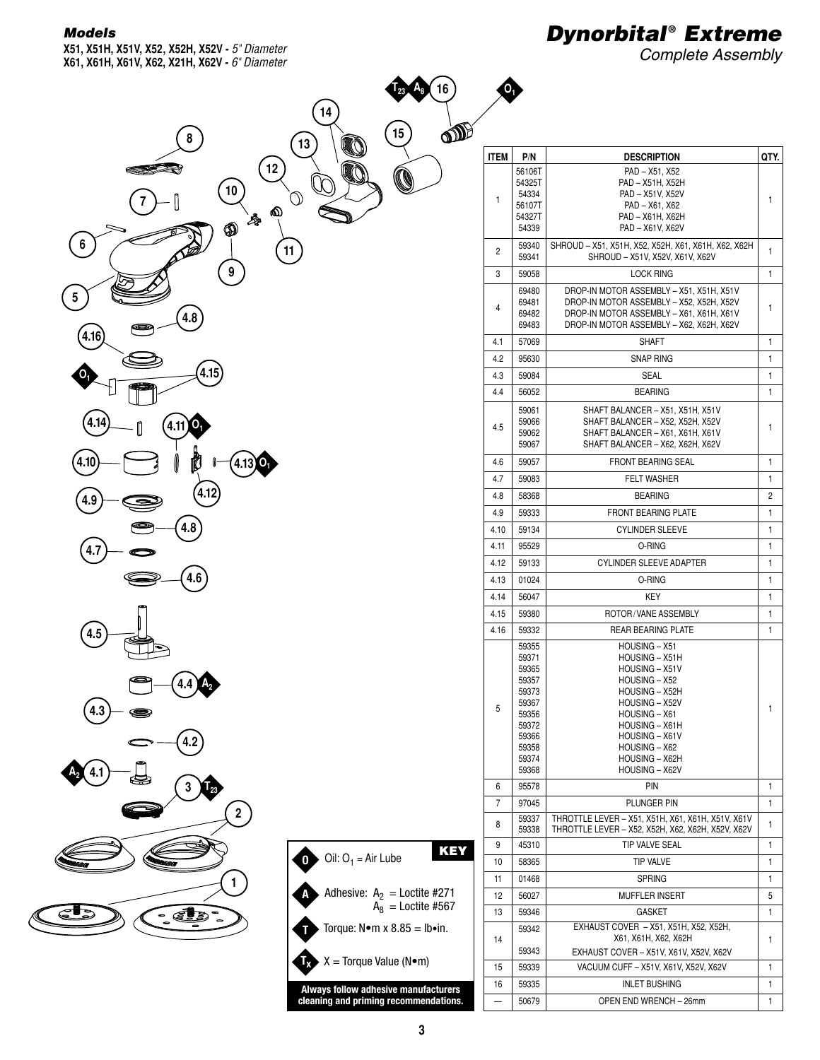#### *Models*

**X51, X51H, X51V, X52, X52H, X52V -** *5" Diameter* **X61, X61H, X61V, X62, X21H, X62V -** *6" Diameter*

# *Dynorbital® Extreme*

**ITEM P/N DESCRIPTION QTY.** 

PAD – X51, X52 PAD – X51H, X52H

56106T 54325T

**A8 O1**

Complete Assembly

|                                                                                                | 16<br>A <sub>8</sub>                                                                                      |
|------------------------------------------------------------------------------------------------|-----------------------------------------------------------------------------------------------------------|
| 14<br>8<br>$13$<br>12                                                                          | லி<br>15<br>Ø                                                                                             |
| 10<br>♦<br>$\hat{\mathcal{O}}$<br>٨<br>$\circledast$<br>6<br>$\overline{11}$                   |                                                                                                           |
| 9<br>5<br>$\left( 4.8\right)$<br>4.16                                                          |                                                                                                           |
| (4.15)<br>0                                                                                    |                                                                                                           |
| 4.14<br>(4.11)<br>$^{\prime}$ O <sub>1</sub><br>O<br>O<br>$(4.13)$ O <sub>1</sub><br>4.10<br>K |                                                                                                           |
| (4.12)<br>4.9<br>4.8<br>4.7                                                                    |                                                                                                           |
| 4.6<br>4.5                                                                                     |                                                                                                           |
| $(4.4)$ $A_2$<br>4.3                                                                           |                                                                                                           |
| 4.2<br>2.41<br>3<br>Īþ3<br>$\overline{\mathbf{2}}$                                             |                                                                                                           |
| $\boxed{0}$<br><b>MOZ</b><br>w<br>1                                                            | <b>KEY</b><br>Oil: $O_1$ = Air Lube                                                                       |
| A<br>(⊴<br>2<br>B<br>т                                                                         | Adhesive: $A_2$ = Loctite #271<br>$A_8$ = Loctite #567<br>Torque: $N \cdot m \times 8.85 = lb \cdot in$ . |
| $\mathbf{E}$                                                                                   | $X = Torque Value (N•m)$                                                                                  |

| 1    | 54334<br>56107T<br>54327T<br>54339                                                                       | PAD – X51V, X52V<br>PAD - X61, X62<br>PAD - X61H, X62H<br>PAD - X61V, X62V                                                                                                                                       |        |
|------|----------------------------------------------------------------------------------------------------------|------------------------------------------------------------------------------------------------------------------------------------------------------------------------------------------------------------------|--------|
| 2    | 59340<br>59341                                                                                           | SHROUD - X51, X51H, X52, X52H, X61, X61H, X62, X62H<br>SHROUD - X51V, X52V, X61V, X62V                                                                                                                           |        |
| 3    | 59058                                                                                                    | <b>LOCK RING</b>                                                                                                                                                                                                 | 1      |
| 4    | 69480<br>69481<br>69482<br>69483                                                                         | DROP-IN MOTOR ASSEMBLY - X51, X51H, X51V<br>DROP-IN MOTOR ASSEMBLY - X52, X52H, X52V<br>DROP-IN MOTOR ASSEMBLY - X61, X61H, X61V<br>DROP-IN MOTOR ASSEMBLY - X62, X62H, X62V                                     | 1      |
| 4.1  | 57069                                                                                                    | <b>SHAFT</b>                                                                                                                                                                                                     | 1      |
| 4.2  | 95630                                                                                                    | <b>SNAP RING</b>                                                                                                                                                                                                 | 1      |
| 4.3  | 59084                                                                                                    | <b>SEAL</b>                                                                                                                                                                                                      | 1      |
| 4.4  | 56052                                                                                                    | <b>BEARING</b>                                                                                                                                                                                                   | 1      |
| 4.5  | 59061<br>59066<br>59062<br>59067                                                                         | SHAFT BALANCER - X51, X51H, X51V<br>SHAFT BALANCER - X52, X52H, X52V<br>SHAFT BALANCER - X61, X61H, X61V<br>SHAFT BALANCER - X62, X62H, X62V                                                                     | 1      |
| 4.6  | 59057                                                                                                    | <b>FRONT BEARING SEAL</b>                                                                                                                                                                                        | 1      |
| 4.7  | 59083                                                                                                    | <b>FELT WASHER</b>                                                                                                                                                                                               | 1      |
| 4.8  | 58368                                                                                                    | <b>BEARING</b>                                                                                                                                                                                                   | 2      |
| 4.9  | 59333                                                                                                    | <b>FRONT BEARING PLATE</b>                                                                                                                                                                                       | 1      |
| 4.10 | 59134                                                                                                    | <b>CYLINDER SLEEVE</b>                                                                                                                                                                                           | 1      |
| 4.11 | 95529                                                                                                    | 0-RING                                                                                                                                                                                                           | 1      |
| 4.12 | 59133                                                                                                    | <b>CYLINDER SLEEVE ADAPTER</b>                                                                                                                                                                                   | 1      |
| 4.13 | 01024                                                                                                    | 0-RING                                                                                                                                                                                                           | 1      |
| 4.14 | 56047                                                                                                    | KEY                                                                                                                                                                                                              | 1      |
| 4.15 | 59380                                                                                                    | ROTOR/VANE ASSEMBLY                                                                                                                                                                                              | 1      |
| 4.16 | 59332                                                                                                    | <b>REAR BEARING PLATE</b>                                                                                                                                                                                        | 1      |
| 5    | 59355<br>59371<br>59365<br>59357<br>59373<br>59367<br>59356<br>59372<br>59366<br>59358<br>59374<br>59368 | HOUSING - X51<br>HOUSING - X51H<br>HOUSING - X51V<br>HOUSING - X52<br>HOUSING - X52H<br>HOUSING - X52V<br>HOUSING - X61<br>HOUSING - X61H<br>HOUSING - X61V<br>HOUSING - X62<br>HOUSING - X62H<br>HOUSING - X62V | 1      |
| 6    | 95578                                                                                                    | PIN                                                                                                                                                                                                              | 1      |
| 7    | 97045                                                                                                    | PLUNGER PIN                                                                                                                                                                                                      | 1      |
| 8    | 59337<br>59338                                                                                           | THROTTLE LEVER - X51, X51H, X61, X61H, X51V, X61V<br>THROTTLE LEVER - X52, X52H, X62, X62H, X52V, X62V                                                                                                           | 1      |
| 9    | 45310                                                                                                    | TIP VALVE SEAL                                                                                                                                                                                                   | 1      |
| 10   | 58365                                                                                                    | TIP VALVE                                                                                                                                                                                                        | 1      |
| 11   | 01468                                                                                                    | <b>SPRING</b>                                                                                                                                                                                                    | 1      |
| 12   | 56027                                                                                                    | MUFFLER INSERT                                                                                                                                                                                                   |        |
| 13   | 59346                                                                                                    | GASKET                                                                                                                                                                                                           | 1      |
| 14   | 59342<br>59343                                                                                           | EXHAUST COVER - X51, X51H, X52, X52H,<br>X61, X61H, X62, X62H                                                                                                                                                    | 1      |
| 15   | 59339                                                                                                    | EXHAUST COVER - X51V, X61V, X52V, X62V<br>VACUUM CUFF - X51V, X61V, X52V, X62V                                                                                                                                   | 1      |
|      |                                                                                                          |                                                                                                                                                                                                                  |        |
| 16   | 59335<br>50679                                                                                           | INLET BUSHING<br>OPEN END WRENCH - 26mm                                                                                                                                                                          | 1<br>1 |
|      |                                                                                                          |                                                                                                                                                                                                                  |        |

**Always follow adhesive manufacturers cleaning and priming recommendations.**